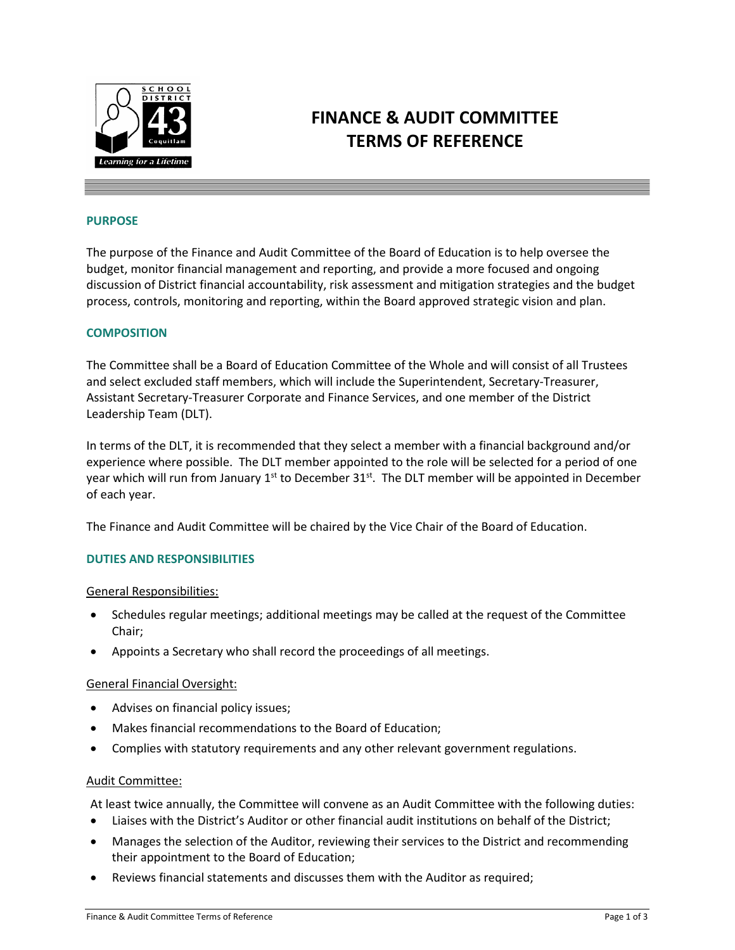

# **FINANCE & AUDIT COMMITTEE TERMS OF REFERENCE**

## **PURPOSE**

The purpose of the Finance and Audit Committee of the Board of Education is to help oversee the budget, monitor financial management and reporting, and provide a more focused and ongoing discussion of District financial accountability, risk assessment and mitigation strategies and the budget process, controls, monitoring and reporting, within the Board approved strategic vision and plan.

## **COMPOSITION**

The Committee shall be a Board of Education Committee of the Whole and will consist of all Trustees and select excluded staff members, which will include the Superintendent, Secretary-Treasurer, Assistant Secretary-Treasurer Corporate and Finance Services, and one member of the District Leadership Team (DLT).

In terms of the DLT, it is recommended that they select a member with a financial background and/or experience where possible. The DLT member appointed to the role will be selected for a period of one year which will run from January  $1<sup>st</sup>$  to December  $31<sup>st</sup>$ . The DLT member will be appointed in December of each year.

The Finance and Audit Committee will be chaired by the Vice Chair of the Board of Education.

# **DUTIES AND RESPONSIBILITIES**

## General Responsibilities:

- Schedules regular meetings; additional meetings may be called at the request of the Committee Chair;
- Appoints a Secretary who shall record the proceedings of all meetings.

## General Financial Oversight:

- Advises on financial policy issues;
- Makes financial recommendations to the Board of Education;
- Complies with statutory requirements and any other relevant government regulations.

## Audit Committee:

At least twice annually, the Committee will convene as an Audit Committee with the following duties:

- Liaises with the District's Auditor or other financial audit institutions on behalf of the District;
- Manages the selection of the Auditor, reviewing their services to the District and recommending their appointment to the Board of Education;
- Reviews financial statements and discusses them with the Auditor as required;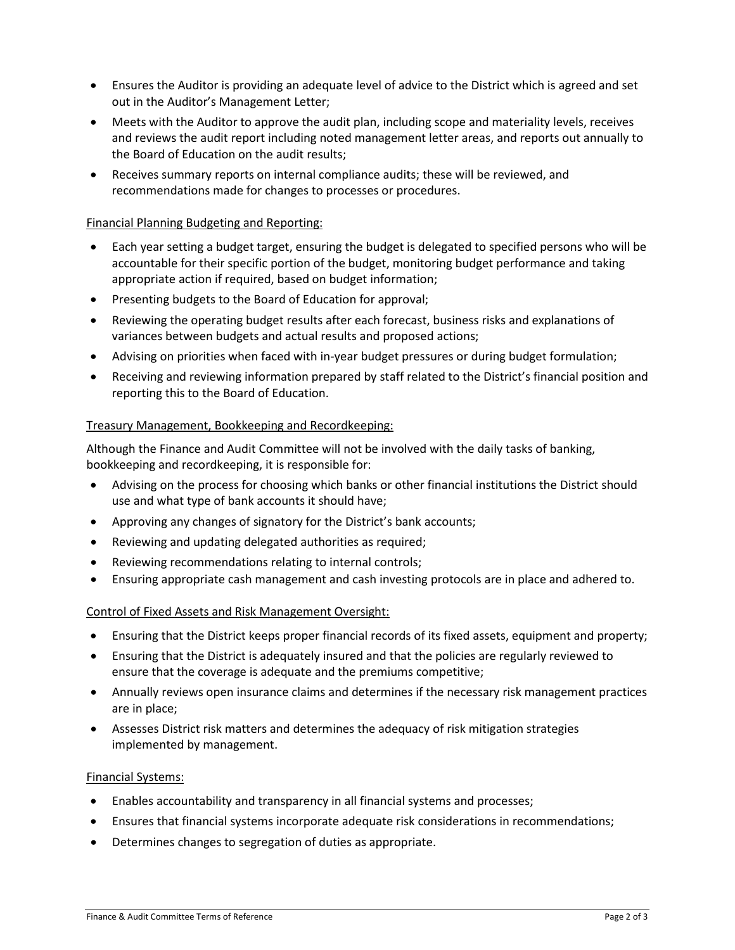- Ensures the Auditor is providing an adequate level of advice to the District which is agreed and set out in the Auditor's Management Letter;
- Meets with the Auditor to approve the audit plan, including scope and materiality levels, receives and reviews the audit report including noted management letter areas, and reports out annually to the Board of Education on the audit results;
- Receives summary reports on internal compliance audits; these will be reviewed, and recommendations made for changes to processes or procedures.

# Financial Planning Budgeting and Reporting:

- Each year setting a budget target, ensuring the budget is delegated to specified persons who will be accountable for their specific portion of the budget, monitoring budget performance and taking appropriate action if required, based on budget information;
- Presenting budgets to the Board of Education for approval;
- Reviewing the operating budget results after each forecast, business risks and explanations of variances between budgets and actual results and proposed actions;
- Advising on priorities when faced with in-year budget pressures or during budget formulation;
- Receiving and reviewing information prepared by staff related to the District's financial position and reporting this to the Board of Education.

# Treasury Management, Bookkeeping and Recordkeeping:

Although the Finance and Audit Committee will not be involved with the daily tasks of banking, bookkeeping and recordkeeping, it is responsible for:

- Advising on the process for choosing which banks or other financial institutions the District should use and what type of bank accounts it should have;
- Approving any changes of signatory for the District's bank accounts;
- Reviewing and updating delegated authorities as required;
- Reviewing recommendations relating to internal controls;
- Ensuring appropriate cash management and cash investing protocols are in place and adhered to.

# Control of Fixed Assets and Risk Management Oversight:

- Ensuring that the District keeps proper financial records of its fixed assets, equipment and property;
- Ensuring that the District is adequately insured and that the policies are regularly reviewed to ensure that the coverage is adequate and the premiums competitive;
- Annually reviews open insurance claims and determines if the necessary risk management practices are in place;
- Assesses District risk matters and determines the adequacy of risk mitigation strategies implemented by management.

# Financial Systems:

- Enables accountability and transparency in all financial systems and processes;
- Ensures that financial systems incorporate adequate risk considerations in recommendations;
- Determines changes to segregation of duties as appropriate.